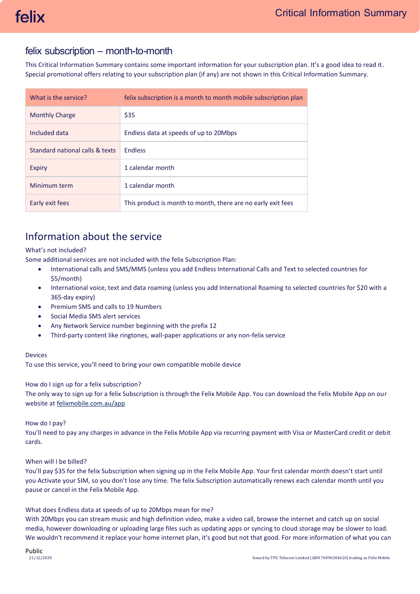## felix subscription – month-to-month

This Critical Information Summary contains some important information for your subscription plan. It's a good idea to read it. Special promotional offers relating to your subscription plan (if any) are not shown in this Critical Information Summary.

| What is the service?            | felix subscription is a month to month mobile subscription plan |
|---------------------------------|-----------------------------------------------------------------|
| <b>Monthly Charge</b>           | \$35                                                            |
| Included data                   | Endless data at speeds of up to 20Mbps                          |
| Standard national calls & texts | <b>Endless</b>                                                  |
| Expiry                          | 1 calendar month                                                |
| Minimum term                    | 1 calendar month                                                |
| Early exit fees                 | This product is month to month, there are no early exit fees    |

# Information about the service

## What's not included?

Some additional services are not included with the felix Subscription Plan:

- International calls and SMS/MMS (unless you add Endless International Calls and Text to selected countries for \$5/month)
- International voice, text and data roaming (unless you add International Roaming to selected countries for \$20 with a 365-day expiry)
- Premium SMS and calls to 19 Numbers
- Social Media SMS alert services
- Any Network Service number beginning with the prefix 12
- Third-party content like ringtones, wall-paper applications or any non-felix service

## Devices

To use this service, you'll need to bring your own compatible mobile device

## How do I sign up for a felix subscription?

The only way to sign up for a felix Subscription is through the Felix Mobile App. You can download the Felix Mobile App on our website a[t felixmobile.com.au/app](https://www.felixmobile.com.au/app)

## How do I pay?

You'll need to pay any charges in advance in the Felix Mobile App via recurring payment with Visa or MasterCard credit or debit cards.

## When will I be billed?

You'll pay \$35 for the felix Subscription when signing up in the Felix Mobile App. Your first calendar month doesn't start until you Activate your SIM, so you don't lose any time. The felix Subscription automatically renews each calendar month until you pause or cancel in the Felix Mobile App.

## What does Endless data at speeds of up to 20Mbps mean for me?

With 20Mbps you can stream music and high definition video, make a video call, browse the internet and catch up on social media, however downloading or uploading large files such as updating apps or syncing to cloud storage may be slower to load. We wouldn't recommend it replace your home internet plan, it's good but not that good. For more information of what you can